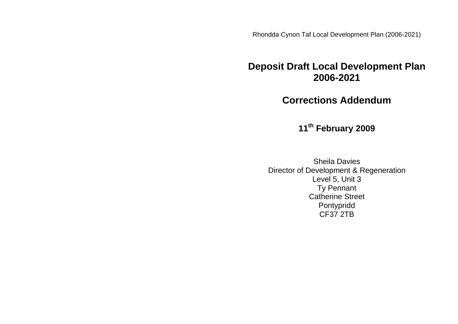Rhondda Cynon Taf Local Development Plan (2006-2021)

# **Deposit Draft Local Development Plan 2006-2021**

**Corrections Addendum**

**11th February 2009**

Sheila Davies Director of Development & Regeneration Level 5, Unit 3 Ty Pennant Catherine Street Pontypridd CF37 2TB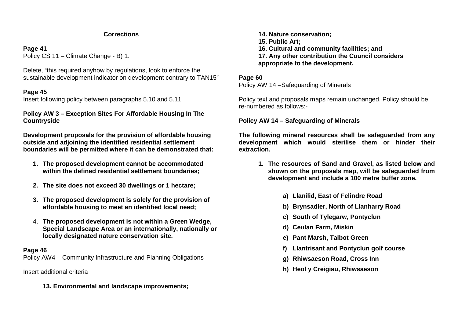#### **Corrections**

### **Page 41**

Policy CS 11 – Climate Change - B) 1.

Delete, "this required anyhow by regulations, look to enforce the sustainable development indicator on development contrary to TAN15"

## **Page 45**

Insert following policy between paragraphs 5.10 and 5.11

**Policy AW 3 – Exception Sites For Affordable Housing In The Countryside**

**Development proposals for the provision of affordable housing outside and adjoining the identified residential settlement boundaries will be permitted where it can be demonstrated that:**

- **1. The proposed development cannot be accommodated within the defined residential settlement boundaries;**
- **2. The site does not exceed 30 dwellings or 1 hectare;**
- **3. The proposed development is solely for the provision of affordable housing to meet an identified local need;**
- 4. **The proposed development is not within a Green Wedge, Special Landscape Area or an internationally, nationally or locally designated nature conservation site.**

## **Page 46**

Policy AW4 – Community Infrastructure and Planning Obligations

Insert additional criteria

**13. Environmental and landscape improvements;**

**14. Nature conservation; 15. Public Art; 16. Cultural and community facilities; and 17. Any other contribution the Council considers appropriate to the development.**

## **Page 60**

Policy AW 14 –Safeguarding of Minerals

Policy text and proposals maps remain unchanged. Policy should be re-numbered as follows:-

**Policy AW 14 – Safeguarding of Minerals**

**The following mineral resources shall be safeguarded from any development which would sterilise them or hinder their extraction.** 

- **1. The resources of Sand and Gravel, as listed below and shown on the proposals map, will be safeguarded from development and include a 100 metre buffer zone.**
	- **a) Llanilid, East of Felindre Road**
	- **b) Brynsadler, North of Llanharry Road**
	- **c) South of Tylegarw, Pontyclun**
	- **d) Ceulan Farm, Miskin**
	- **e) Pant Marsh, Talbot Green**
	- **f) Llantrisant and Pontyclun golf course**
	- **g) Rhiwsaeson Road, Cross Inn**
	- **h) Heol y Creigiau, Rhiwsaeson**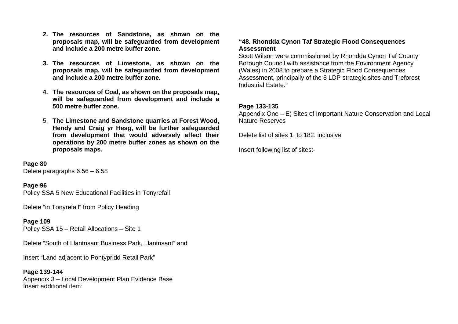- **2. The resources of Sandstone, as shown on the proposals map, will be safeguarded from development and include a 200 metre buffer zone.**
- **3. The resources of Limestone, as shown on the proposals map, will be safeguarded from development and include a 200 metre buffer zone.**
- **4. The resources of Coal, as shown on the proposals map, will be safeguarded from development and include a 500 metre buffer zone.**
- 5. **The Limestone and Sandstone quarries at Forest Wood, Hendy and Craig yr Hesg, will be further safeguarded from development that would adversely affect their operations by 200 metre buffer zones as shown on the proposals maps.**

**Page 80** Delete paragraphs 6.56 – 6.58

#### **Page 96**

Policy SSA 5 New Educational Facilities in Tonyrefail

Delete "in Tonyrefail" from Policy Heading

**Page 109** Policy SSA 15 – Retail Allocations – Site 1

Delete "South of Llantrisant Business Park, Llantrisant" and

Insert "Land adjacent to Pontypridd Retail Park"

**Page 139-144** Appendix 3 – Local Development Plan Evidence Base Insert additional item:

#### **"48. Rhondda Cynon Taf Strategic Flood Consequences Assessment**

Scott Wilson were commissioned by Rhondda Cynon Taf County Borough Council with assistance from the Environment Agency (Wales) in 2008 to prepare a Strategic Flood Consequences Assessment, principally of the 8 LDP strategic sites and Treforest Industrial Estate."

#### **Page 133-135**

Appendix One – E) Sites of Important Nature Conservation and Local Nature Reserves

Delete list of sites 1. to 182. inclusive

Insert following list of sites:-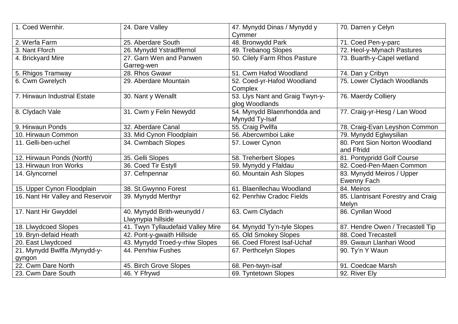| 1. Coed Wernhir.                  | 24. Dare Valley                                  | 47. Mynydd Dinas / Mynydd y                       | 70. Darren y Celyn                              |
|-----------------------------------|--------------------------------------------------|---------------------------------------------------|-------------------------------------------------|
|                                   |                                                  | Cymmer                                            |                                                 |
| 2. Werfa Farm                     | 25. Aberdare South                               | 48. Bronwydd Park                                 | 71. Coed Pen-y-parc                             |
| 3. Nant Fforch                    | 26. Mynydd Ystradffernol                         | 49. Trebanog Slopes                               | 72. Heol-y-Mynach Pastures                      |
| 4. Brickyard Mire                 | 27. Garn Wen and Panwen<br>Garreg-wen            | 50. Cilely Farm Rhos Pasture                      | 73. Buarth-y-Capel wetland                      |
| 5. Rhigos Tramway                 | 28. Rhos Gwawr                                   | 51. Cwm Hafod Woodland                            | 74. Dan y Cribyn                                |
| 6. Cwm Gwrelych                   | 29. Aberdare Mountain                            | 52. Coed-yr-Hafod Woodland<br>Complex             | 75. Lower Clydach Woodlands                     |
| 7. Hirwaun Industrial Estate      | 30. Nant y Wenallt                               | 53. Llys Nant and Graig Twyn-y-<br>glog Woodlands | 76. Maerdy Colliery                             |
| 8. Clydach Vale                   | 31. Cwm y Felin Newydd                           | 54. Mynydd Blaenrhondda and<br>Mynydd Ty-Isaf     | 77. Craig-yr-Hesg / Lan Wood                    |
| 9. Hirwaun Ponds                  | 32. Aberdare Canal                               | 55. Craig Pwllfa                                  | 78. Craig-Evan Leyshon Common                   |
| 10. Hirwaun Common                | 33. Mid Cynon Floodplain                         | 56. Abercwmboi Lake                               | 79. Mynydd Eglwysilian                          |
| 11. Gelli-ben-uchel               | 34. Cwmbach Slopes                               | 57. Lower Cynon                                   | 80. Pont Sion Norton Woodland<br>and Ffridd     |
| 12. Hirwaun Ponds (North)         | 35. Gelli Slopes                                 | 58. Treherbert Slopes                             | 81. Pontypridd Golf Course                      |
| 13. Hirwaun Iron Works            | 36. Coed Tir Estyll                              | 59. Mynydd y Ffaldau                              | 82. Coed-Pen-Maen Common                        |
| 14. Glyncornel                    | 37. Cefnpennar                                   | 60. Mountain Ash Slopes                           | 83. Mynydd Meiros / Upper<br><b>Ewenny Fach</b> |
| 15. Upper Cynon Floodplain        | 38. St. Gwynno Forest                            | 61. Blaenllechau Woodland                         | 84. Meiros                                      |
| 16. Nant Hir Valley and Reservoir | 39. Mynydd Merthyr                               | 62. Penrhiw Cradoc Fields                         | 85. Llantrisant Forestry and Craig              |
|                                   |                                                  |                                                   | Melyn                                           |
| 17. Nant Hir Gwyddel              | 40. Mynydd Brith-weunydd /<br>Llwynypia hillside | 63. Cwm Clydach                                   | 86. Cynllan Wood                                |
| 18. Llwydcoed Slopes              | 41. Twyn Tyllaudefaid Valley Mire                | 64. Mynydd Ty'n-tyle Slopes                       | 87. Hendre Owen / Trecastell Tip                |
| 19. Bryn-defaid Heath             | 42. Pont-y-gwaith Hillside                       | 65. Old Smokey Slopes                             | 88. Coed Trecastell                             |
| 20. East Llwydcoed                | 43. Mynydd Troed-y-rhiw Slopes                   | 66. Coed Fforest Isaf-Uchaf                       | 89. Gwaun Llanhari Wood                         |
| 21. Mynydd Bwlffa /Mynydd-y-      | 44. Penrhiw Fushes                               | 67. Perthcelyn Slopes                             | 90. Ty'n Y Waun                                 |
| gyngon                            |                                                  |                                                   |                                                 |
| 22. Cwm Dare North                | 45. Birch Grove Slopes                           | 68. Pen-twyn-isaf                                 | 91. Coedcae Marsh                               |
| 23. Cwm Dare South                | 46. Y Ffrywd                                     | 69. Tyntetown Slopes                              | 92. River Ely                                   |